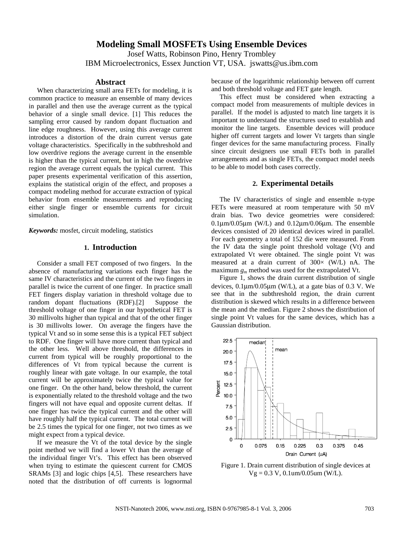# **Modeling Small MOSFETs Using Ensemble Devices**

Josef Watts, Robinson Pino, Henry Trombley IBM Microelectronics, Essex Junction VT, USA. jswatts@us.ibm.com

### **Abstract**

When characterizing small area FETs for modeling, it is common practice to measure an ensemble of many devices in parallel and then use the average current as the typical behavior of a single small device. [1] This reduces the sampling error caused by random dopant fluctuation and line edge roughness. However, using this average current introduces a distortion of the drain current versus gate voltage characteristics. Specifically in the subthreshold and low overdrive regions the average current in the ensemble is higher than the typical current, but in high the overdrive region the average current equals the typical current. This paper presents experimental verification of this assertion, explains the statistical origin of the effect, and proposes a compact modeling method for accurate extraction of typical behavior from ensemble measurements and reproducing either single finger or ensemble currents for circuit simulation.

*Keywords:* mosfet, circuit modeling, statistics

# **1. Introduction**

Consider a small FET composed of two fingers. In the absence of manufacturing variations each finger has the same IV characteristics and the current of the two fingers in parallel is twice the current of one finger. In practice small FET fingers display variation in threshold voltage due to random dopant fluctuations (RDF).[2] Suppose the threshold voltage of one finger in our hypothetical FET is 30 millivolts higher than typical and that of the other finger is 30 millivolts lower. On average the fingers have the typical Vt and so in some sense this is a typical FET subject to RDF. One finger will have more current than typical and the other less. Well above threshold, the differences in current from typical will be roughly proportional to the differences of Vt from typical because the current is roughly linear with gate voltage. In our example, the total current will be approximately twice the typical value for one finger. On the other hand, below threshold, the current is exponentially related to the threshold voltage and the two fingers will not have equal and opposite current deltas. If one finger has twice the typical current and the other will have roughly half the typical current. The total current will be 2.5 times the typical for one finger, not two times as we might expect from a typical device.

If we measure the Vt of the total device by the single point method we will find a lower Vt than the average of the individual finger Vt's. This effect has been observed when trying to estimate the quiescent current for CMOS SRAMs [3] and logic chips [4,5]. These researchers have noted that the distribution of off currents is lognormal because of the logarithmic relationship between off current and both threshold voltage and FET gate length.

This effect must be considered when extracting a compact model from measurements of multiple devices in parallel. If the model is adjusted to match line targets it is important to understand the structures used to establish and monitor the line targets. Ensemble devices will produce higher off current targets and lower Vt targets than single finger devices for the same manufacturing process. Finally since circuit designers use small FETs both in parallel arrangements and as single FETs, the compact model needs to be able to model both cases correctly.

## **2. Experimental Details**

The IV characteristics of single and ensemble n-type FETs were measured at room temperature with 50 mV drain bias. Two device geometries were considered:  $0.1\mu$ m/ $0.05\mu$ m (W/L) and  $0.12\mu$ m/ $0.06\mu$ m. The ensemble devices consisted of 20 identical devices wired in parallel. For each geometry a total of 152 die were measured. From the IV data the single point threshold voltage (Vt) and extrapolated Vt were obtained. The single point Vt was measured at a drain current of  $300 \times (W/L)$  nA. The maximum *gm* method was used for the extrapolated Vt.

Figure 1, shows the drain current distribution of single devices,  $0.1 \mu m / 0.05 \mu m$  (W/L), at a gate bias of 0.3 V. We see that in the subthreshold region, the drain current distribution is skewed which results in a difference between the mean and the median. Figure 2 shows the distribution of single point Vt values for the same devices, which has a Gaussian distribution.



Figure 1. Drain current distribution of single devices at  $Vg = 0.3 V$ , 0.1um/0.05um (W/L).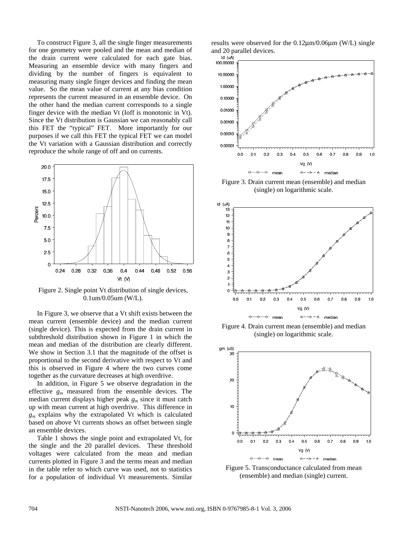To construct Figure 3, all the single finger measurements for one geometry were pooled and the mean and median of the drain current were calculated for each gate bias. Measuring an ensemble device with many fingers and dividing by the number of fingers is equivalent to measuring many single finger devices and finding the mean value. So the mean value of current at any bias condition represents the current measured in an ensemble device. On the other hand the median current corresponds to a single finger device with the median Vt (Ioff is monotonic in Vt). Since the Vt distribution is Gaussian we can reasonably call this FET the "typical" FET. More importantly for our purposes if we call this FET the typical FET we can model the Vt variation with a Gaussian distribution and correctly reproduce the whole range of off and on currents.



Figure 2. Single point Vt distribution of single devices, 0.1um/0.05um (W/L).

In Figure 3, we observe that a Vt shift exists between the mean current (ensemble device) and the median current (single device). This is expected from the drain current in subthreshold distribution shown in Figure 1 in which the mean and median of the distribution are clearly different. We show in Section 3.1 that the magnitude of the offset is proportional to the second derivative with respect to Vt and this is observed in Figure 4 where the two curves come together as the curvature decreases at high overdrive.

In addition, in Figure 5 we observe degradation in the effective *gm* measured from the ensemble devices. The median current displays higher peak *gm* since it must catch up with mean current at high overdrive. This difference in *gm* explains why the extrapolated Vt which is calculated based on above Vt currents shows an offset between single an ensemble devices.

Table 1 shows the single point and extrapolated Vt, for the single and the 20 parallel devices. These threshold voltages were calculated from the mean and median currents plotted in Figure 3 and the terms mean and median in the table refer to which curve was used, not to statistics for a population of individual Vt measurements. Similar results were observed for the 0.12μm/0.06μm (W/L) single and 20 parallel devices.<br> $\frac{Id}{d}$ 



Figure 3. Drain current mean (ensemble) and median (single) on logarithmic scale.



Figure 4. Drain current mean (ensemble) and median (single) on logarithmic scale.



Figure 5. Transconductance calculated from mean (ensemble) and median (single) current.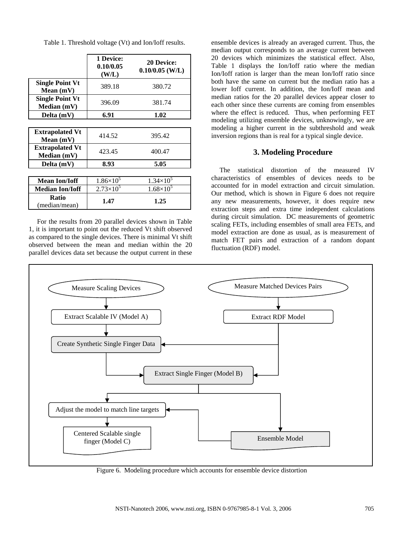|                                       | 1 Device:<br>0.10/0.05<br>(W/L) | <b>20 Device:</b><br>$0.10/0.05$ (W/L) |
|---------------------------------------|---------------------------------|----------------------------------------|
| <b>Single Point Vt</b><br>Mean $(mV)$ | 389.18                          | 380.72                                 |
| <b>Single Point Vt</b><br>Median (mV) | 396.09                          | 381.74                                 |
| Delta (mV)                            | 6.91                            | 1.02                                   |
|                                       |                                 |                                        |
| <b>Extrapolated Vt</b><br>Mean (mV)   | 414.52                          | 395.42                                 |
| <b>Extrapolated Vt</b><br>Median (mV) | 423.45                          | 400.47                                 |
| Delta (mV)                            | 8.93                            | 5.05                                   |
|                                       |                                 |                                        |
| <b>Mean Ion/Ioff</b>                  | $1.86\times10^{5}$              | $1.34\times10^{5}$                     |
| <b>Median Ion/Ioff</b>                | $2.73\times10^{5}$              | $1.68\times10^{5}$                     |
| Ratio<br>(median/mean)                | 1.47                            | 1.25                                   |

For the results from 20 parallel devices shown in Table 1, it is important to point out the reduced Vt shift observed as compared to the single devices. There is minimal Vt shift observed between the mean and median within the 20 parallel devices data set because the output current in these ensemble devices is already an averaged current. Thus, the median output corresponds to an average current between 20 devices which minimizes the statistical effect. Also, Table 1 displays the Ion/Ioff ratio where the median Ion/Ioff ration is larger than the mean Ion/Ioff ratio since both have the same on current but the median ratio has a lower Ioff current. In addition, the Ion/Ioff mean and median ratios for the 20 parallel devices appear closer to each other since these currents are coming from ensembles where the effect is reduced. Thus, when performing FET modeling utilizing ensemble devices, unknowingly, we are modeling a higher current in the subthreshold and weak inversion regions than is real for a typical single device.

# **3. Modeling Procedure**

The statistical distortion of the measured IV characteristics of ensembles of devices needs to be accounted for in model extraction and circuit simulation. Our method, which is shown in Figure 6 does not require any new measurements, however, it does require new extraction steps and extra time independent calculations during circuit simulation. DC measurements of geometric scaling FETs, including ensembles of small area FETs, and model extraction are done as usual, as is measurement of match FET pairs and extraction of a random dopant fluctuation (RDF) model.



Figure 6. Modeling procedure which accounts for ensemble device distortion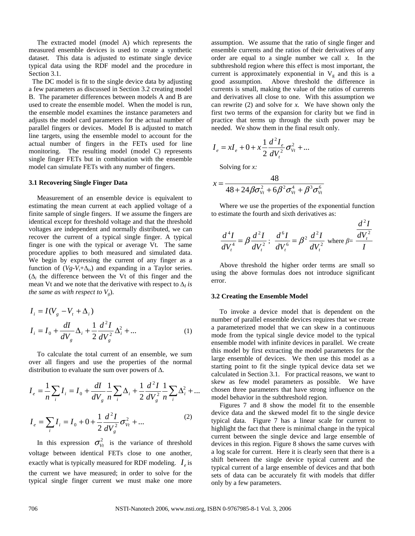The extracted model (model A) which represents the measured ensemble devices is used to create a synthetic dataset. This data is adjusted to estimate single device typical data using the RDF model and the procedure in Section 3.1.

 The DC model is fit to the single device data by adjusting a few parameters as discussed in Section 3.2 creating model B. The parameter differences between models A and B are used to create the ensemble model. When the model is run, the ensemble model examines the instance parameters and adjusts the model card parameters for the actual number of parallel fingers or devices. Model B is adjusted to match line targets, using the ensemble model to account for the actual number of fingers in the FETs used for line monitoring. The resulting model (model C) represents single finger FETs but in combination with the ensemble model can simulate FETs with any number of fingers.

#### **3.1 Recovering Single Finger Data**

Measurement of an ensemble device is equivalent to estimating the mean current at each applied voltage of a finite sample of single fingers. If we assume the fingers are identical except for threshold voltage and that the threshold voltages are independent and normally distributed, we can recover the current of a typical single finger. A typical finger is one with the typical or average Vt. The same procedure applies to both measured and simulated data. We begin by expressing the current of any finger as a function of  $(Vg-V_t+\Delta_i)$  and expanding in a Taylor series.  $(\Delta_i)$  the difference between the Vt of this finger and the mean Vt and we note that the derivative with respect to  $\Delta_l$  is *the same as with respect to*  $V_g$ *).* 

$$
I_{i} = I(V_{g} - V_{t} + \Delta_{i})
$$
  
\n
$$
I_{i} = I_{0} + \frac{dI}{dV_{g}}\Delta_{i} + \frac{1}{2}\frac{d^{2}I}{dV_{g}^{2}}\Delta_{i}^{2} + ...
$$
 (1)

To calculate the total current of an ensemble, we sum over all fingers and use the properties of the normal distribution to evaluate the sum over powers of  $\Delta$ .

$$
I_e = \frac{1}{n} \sum_i I_i = I_0 + \frac{dI}{dV_g} \frac{1}{n} \sum_i \Delta_i + \frac{1}{2} \frac{d^2 I}{dV_g^2} \frac{1}{n} \sum_i \Delta_i^2 + \dots
$$
  

$$
I_e = \sum_i I_i = I_0 + 0 + \frac{1}{2} \frac{d^2 I}{dV_g^2} \sigma_{V_t}^2 + \dots
$$
 (2)

In this expression  $\sigma_{Vt}^2$  is the variance of threshold voltage between identical FETs close to one another, exactly what is typically measured for RDF modeling.  $I<sub>e</sub>$  is the current we have measured; in order to solve for the typical single finger current we must make one more

assumption. We assume that the ratio of single finger and ensemble currents and the ratios of their derivatives of any order are equal to a single number we call *x.* In the subthreshold region where this effect is most important, the current is approximately exponential in  $V<sub>g</sub>$  and this is a good assumption. Above threshold the difference in currents is small, making the value of the ratios of currents and derivatives all close to one. With this assumption we can rewrite (2) and solve for *x.* We have shown only the first two terms of the expansion for clarity but we find in practice that terms up through the sixth power may be needed. We show them in the final result only.

$$
I_e = xI_e + 0 + x\frac{1}{2}\frac{d^2I_e}{dV_t^2}\sigma_{V_t}^2 + \dots
$$

Solving for *x:* 

$$
x = \frac{48}{48 + 24\beta\sigma_{v_t}^2 + 6\beta^2\sigma_{v_t}^4 + \beta^3\sigma_{v_t}^6}
$$

Where we use the properties of the exponential function to estimate the fourth and sixth derivatives as:

$$
\frac{d^4I}{dV_t^4} = \beta \frac{d^2I}{dV_t^2} \, ; \, \frac{d^6I}{dV_t^6} = \beta^2 \frac{d^2I}{dV_t^2} \text{ where } \beta = \frac{d^2I}{I}
$$

Above threshold the higher order terms are small so using the above formulas does not introduce significant error.

#### **3.2 Creating the Ensemble Model**

To invoke a device model that is dependent on the number of parallel ensemble devices requires that we create a parameterized model that we can skew in a continuous mode from the typical single device model to the typical ensemble model with infinite devices in parallel. We create this model by first extracting the model parameters for the large ensemble of devices. We then use this model as a starting point to fit the single typical device data set we calculated in Section 3.1. For practical reasons, we want to skew as few model parameters as possible. We have chosen three parameters that have strong influence on the model behavior in the subthreshold region.

Figures 7 and 8 show the model fit to the ensemble device data and the skewed model fit to the single device typical data. Figure 7 has a linear scale for current to highlight the fact that there is minimal change in the typical current between the single device and large ensemble of devices in this region. Figure 8 shows the same curves with a log scale for current. Here it is clearly seen that there is a shift between the single device typical current and the typical current of a large ensemble of devices and that both sets of data can be accurately fit with models that differ only by a few parameters.